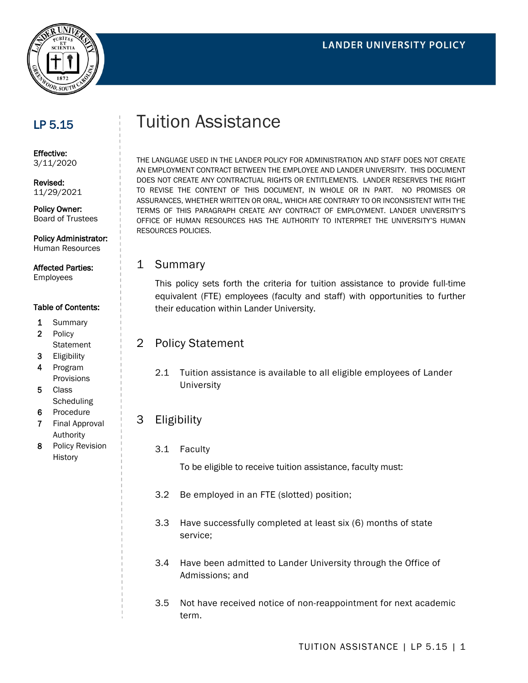

## LP 5.15

Effective: 3/11/2020

Revised: 11/29/2021

Policy Owner: Board of Trustees

Policy Administrator: Human Resources

#### Affected Parties: Employees

#### Table of Contents:

- 1 Summary
- 2 Policy **Statement**
- 3 Eligibility
- 4 Program Provisions
- 5 Class **Scheduling**
- 6 Procedure
- 7 Final Approval Authority
- 8 Policy Revision **History**

# Tuition Assistance

THE LANGUAGE USED IN THE LANDER POLICY FOR ADMINISTRATION AND STAFF DOES NOT CREATE AN EMPLOYMENT CONTRACT BETWEEN THE EMPLOYEE AND LANDER UNIVERSITY. THIS DOCUMENT DOES NOT CREATE ANY CONTRACTUAL RIGHTS OR ENTITLEMENTS. LANDER RESERVES THE RIGHT TO REVISE THE CONTENT OF THIS DOCUMENT, IN WHOLE OR IN PART. NO PROMISES OR ASSURANCES, WHETHER WRITTEN OR ORAL, WHICH ARE CONTRARY TO OR INCONSISTENT WITH THE TERMS OF THIS PARAGRAPH CREATE ANY CONTRACT OF EMPLOYMENT. LANDER UNIVERSITY'S OFFICE OF HUMAN RESOURCES HAS THE AUTHORITY TO INTERPRET THE UNIVERSITY'S HUMAN RESOURCES POLICIES.

## 1 Summary

This policy sets forth the criteria for tuition assistance to provide full-time equivalent (FTE) employees (faculty and staff) with opportunities to further their education within Lander University.

## 2 Policy Statement

2.1 Tuition assistance is available to all eligible employees of Lander **University** 

## 3 Eligibility

3.1 Faculty

To be eligible to receive tuition assistance, faculty must:

- 3.2 Be employed in an FTE (slotted) position;
- 3.3 Have successfully completed at least six (6) months of state service;
- 3.4 Have been admitted to Lander University through the Office of Admissions; and
- 3.5 Not have received notice of non-reappointment for next academic term.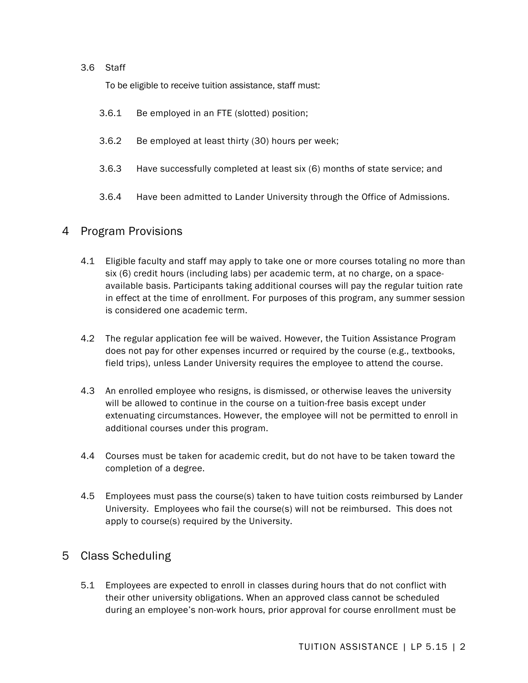#### 3.6 Staff

To be eligible to receive tuition assistance, staff must:

- 3.6.1 Be employed in an FTE (slotted) position;
- 3.6.2 Be employed at least thirty (30) hours per week;
- 3.6.3 Have successfully completed at least six (6) months of state service; and
- 3.6.4 Have been admitted to Lander University through the Office of Admissions.

## 4 Program Provisions

- 4.1 Eligible faculty and staff may apply to take one or more courses totaling no more than six (6) credit hours (including labs) per academic term, at no charge, on a spaceavailable basis. Participants taking additional courses will pay the regular tuition rate in effect at the time of enrollment. For purposes of this program, any summer session is considered one academic term.
- 4.2 The regular application fee will be waived. However, the Tuition Assistance Program does not pay for other expenses incurred or required by the course (e.g., textbooks, field trips), unless Lander University requires the employee to attend the course.
- 4.3 An enrolled employee who resigns, is dismissed, or otherwise leaves the university will be allowed to continue in the course on a tuition-free basis except under extenuating circumstances. However, the employee will not be permitted to enroll in additional courses under this program.
- 4.4 Courses must be taken for academic credit, but do not have to be taken toward the completion of a degree.
- 4.5 Employees must pass the course(s) taken to have tuition costs reimbursed by Lander University. Employees who fail the course(s) will not be reimbursed. This does not apply to course(s) required by the University.

## 5 Class Scheduling

5.1 Employees are expected to enroll in classes during hours that do not conflict with their other university obligations. When an approved class cannot be scheduled during an employee's non-work hours, prior approval for course enrollment must be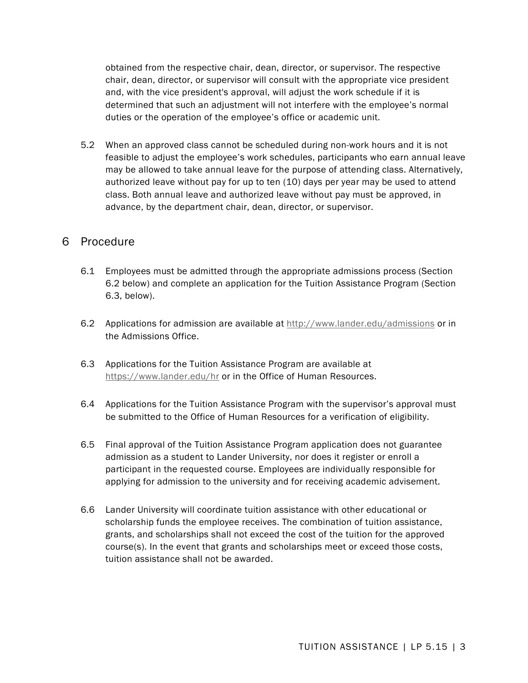obtained from the respective chair, dean, director, or supervisor. The respective chair, dean, director, or supervisor will consult with the appropriate vice president and, with the vice president's approval, will adjust the work schedule if it is determined that such an adjustment will not interfere with the employee's normal duties or the operation of the employee's office or academic unit.

5.2 When an approved class cannot be scheduled during non-work hours and it is not feasible to adjust the employee's work schedules, participants who earn annual leave may be allowed to take annual leave for the purpose of attending class. Alternatively, authorized leave without pay for up to ten (10) days per year may be used to attend class. Both annual leave and authorized leave without pay must be approved, in advance, by the department chair, dean, director, or supervisor.

## 6 Procedure

- 6.1 Employees must be admitted through the appropriate admissions process (Section 6.2 below) and complete an application for the Tuition Assistance Program (Section 6.3, below).
- 6.2 Applications for admission are available at<http://www.lander.edu/admissions> or in the Admissions Office.
- 6.3 Applications for the Tuition Assistance Program are available at <https://www.lander.edu/hr> or in the Office of Human Resources.
- 6.4 Applications for the Tuition Assistance Program with the supervisor's approval must be submitted to the Office of Human Resources for a verification of eligibility.
- 6.5 Final approval of the Tuition Assistance Program application does not guarantee admission as a student to Lander University, nor does it register or enroll a participant in the requested course. Employees are individually responsible for applying for admission to the university and for receiving academic advisement.
- 6.6 Lander University will coordinate tuition assistance with other educational or scholarship funds the employee receives. The combination of tuition assistance, grants, and scholarships shall not exceed the cost of the tuition for the approved course(s). In the event that grants and scholarships meet or exceed those costs, tuition assistance shall not be awarded.